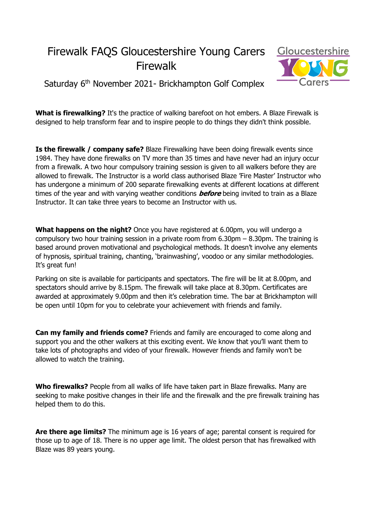## Firewalk FAQS Gloucestershire Young Carers Firewalk



Saturday 6<sup>th</sup> November 2021- Brickhampton Golf Complex

**What is firewalking?** It's the practice of walking barefoot on hot embers. A Blaze Firewalk is designed to help transform fear and to inspire people to do things they didn't think possible.

**Is the firewalk / company safe?** Blaze Firewalking have been doing firewalk events since 1984. They have done firewalks on TV more than 35 times and have never had an injury occur from a firewalk. A two hour compulsory training session is given to all walkers before they are allowed to firewalk. The Instructor is a world class authorised Blaze 'Fire Master' Instructor who has undergone a minimum of 200 separate firewalking events at different locations at different times of the year and with varying weather conditions **before** being invited to train as a Blaze Instructor. It can take three years to become an Instructor with us.

**What happens on the night?** Once you have registered at 6.00pm, you will undergo a compulsory two hour training session in a private room from 6.30pm – 8.30pm. The training is based around proven motivational and psychological methods. It doesn't involve any elements of hypnosis, spiritual training, chanting, 'brainwashing', voodoo or any similar methodologies. It's great fun!

Parking on site is available for participants and spectators. The fire will be lit at 8.00pm, and spectators should arrive by 8.15pm. The firewalk will take place at 8.30pm. Certificates are awarded at approximately 9.00pm and then it's celebration time. The bar at Brickhampton will be open until 10pm for you to celebrate your achievement with friends and family.

**Can my family and friends come?** Friends and family are encouraged to come along and support you and the other walkers at this exciting event. We know that you'll want them to take lots of photographs and video of your firewalk. However friends and family won't be allowed to watch the training.

**Who firewalks?** People from all walks of life have taken part in Blaze firewalks. Many are seeking to make positive changes in their life and the firewalk and the pre firewalk training has helped them to do this.

**Are there age limits?** The minimum age is 16 years of age; parental consent is required for those up to age of 18. There is no upper age limit. The oldest person that has firewalked with Blaze was 89 years young.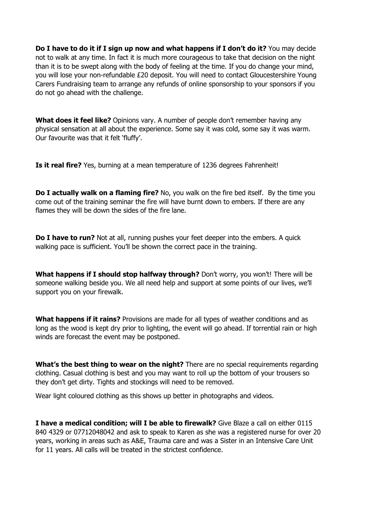**Do I have to do it if I sign up now and what happens if I don't do it?** You may decide not to walk at any time. In fact it is much more courageous to take that decision on the night than it is to be swept along with the body of feeling at the time. If you do change your mind, you will lose your non-refundable £20 deposit. You will need to contact Gloucestershire Young Carers Fundraising team to arrange any refunds of online sponsorship to your sponsors if you do not go ahead with the challenge.

**What does it feel like?** Opinions vary. A number of people don't remember having any physical sensation at all about the experience. Some say it was cold, some say it was warm. Our favourite was that it felt 'fluffy'.

**Is it real fire?** Yes, burning at a mean temperature of 1236 degrees Fahrenheit!

**Do I actually walk on a flaming fire?** No, you walk on the fire bed itself. By the time you come out of the training seminar the fire will have burnt down to embers. If there are any flames they will be down the sides of the fire lane.

**Do I have to run?** Not at all, running pushes your feet deeper into the embers. A quick walking pace is sufficient. You'll be shown the correct pace in the training.

**What happens if I should stop halfway through?** Don't worry, you won't! There will be someone walking beside you. We all need help and support at some points of our lives, we'll support you on your firewalk.

**What happens if it rains?** Provisions are made for all types of weather conditions and as long as the wood is kept dry prior to lighting, the event will go ahead. If torrential rain or high winds are forecast the event may be postponed.

**What's the best thing to wear on the night?** There are no special requirements regarding clothing. Casual clothing is best and you may want to roll up the bottom of your trousers so they don't get dirty. Tights and stockings will need to be removed.

Wear light coloured clothing as this shows up better in photographs and videos.

**I have a medical condition; will I be able to firewalk?** Give Blaze a call on either 0115 840 4329 or 07712048042 and ask to speak to Karen as she was a registered nurse for over 20 years, working in areas such as A&E, Trauma care and was a Sister in an Intensive Care Unit for 11 years. All calls will be treated in the strictest confidence.